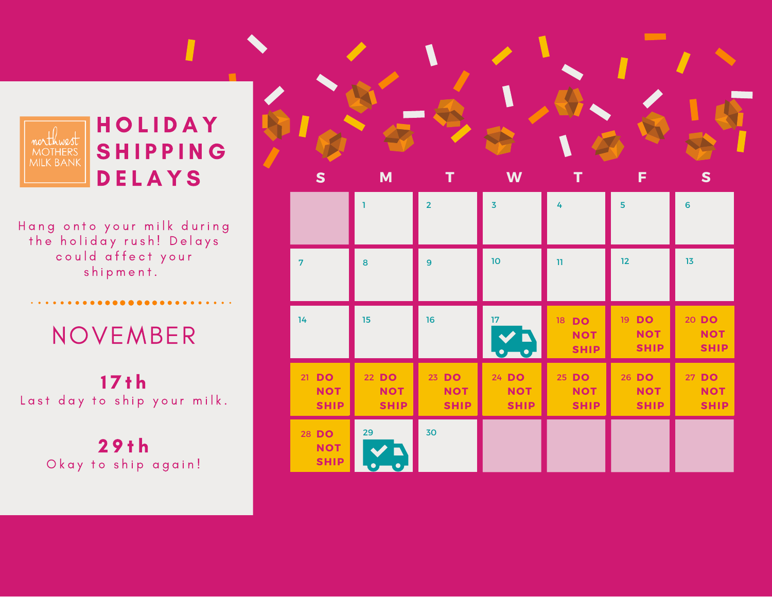

Hang onto your milk during the holiday rush! Delays could affect your shipment.

## NOVEMBER

 $17 th$ Last day to ship your milk.

> 2 9 t h Okay to ship again!

| ${\sf s}$                          | M                                  |                                    | W                                  | т                                  | F                                  | $\mathbf{s}$                       |  |
|------------------------------------|------------------------------------|------------------------------------|------------------------------------|------------------------------------|------------------------------------|------------------------------------|--|
|                                    |                                    | $\overline{2}$                     | $\overline{3}$                     | 4                                  | 5                                  | $6\phantom{a}$                     |  |
| $\overline{7}$                     | 8                                  | $\overline{9}$                     | 10                                 | $\mathbf{u}$                       | 12                                 | 13                                 |  |
| 14                                 | 15                                 | 16                                 | 17 <sub>17</sub>                   | 18 DO<br><b>NOT</b><br><b>SHIP</b> | 19 DO<br><b>NOT</b><br><b>SHIP</b> | 20 DO<br><b>NOT</b><br><b>SHIP</b> |  |
| 21 DO<br><b>NOT</b><br><b>SHIP</b> | 22 DO<br><b>NOT</b><br><b>SHIP</b> | 23 DO<br><b>NOT</b><br><b>SHIP</b> | 24 DO<br><b>NOT</b><br><b>SHIP</b> | 25 DO<br><b>NOT</b><br><b>SHIP</b> | 26 DO<br><b>NOT</b><br><b>SHIP</b> | 27 DO<br><b>NOT</b><br><b>SHIP</b> |  |
| 28 DO<br><b>NOT</b><br><b>SHIP</b> | 29                                 | 30                                 |                                    |                                    |                                    |                                    |  |

**The Contract Contract Contract**